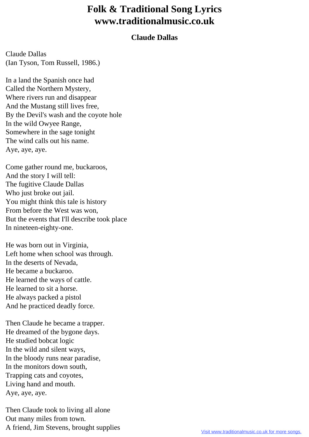## **Folk & Traditional Song Lyrics www.traditionalmusic.co.uk**

## **Claude Dallas**

Claude Dallas (Ian Tyson, Tom Russell, 1986.)

In a land the Spanish once had Called the Northern Mystery, Where rivers run and disappear And the Mustang still lives free, By the Devil's wash and the coyote hole In the wild Owyee Range, Somewhere in the sage tonight The wind calls out his name. Aye, aye, aye.

Come gather round me, buckaroos, And the story I will tell: The fugitive Claude Dallas Who just broke out jail. You might think this tale is history From before the West was won, But the events that I'll describe took place In nineteen-eighty-one.

He was born out in Virginia, Left home when school was through. In the deserts of Nevada, He became a buckaroo. He learned the ways of cattle. He learned to sit a horse. He always packed a pistol And he practiced deadly force.

Then Claude he became a trapper. He dreamed of the bygone days. He studied bobcat logic In the wild and silent ways, In the bloody runs near paradise, In the monitors down south, Trapping cats and coyotes, Living hand and mouth. Aye, aye, aye.

Then Claude took to living all alone Out many miles from town. A friend, Jim Stevens, brought supplies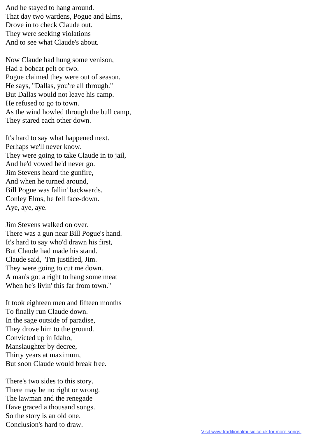And he stayed to hang around. That day two wardens, Pogue and Elms, Drove in to check Claude out. They were seeking violations And to see what Claude's about.

Now Claude had hung some venison, Had a bobcat pelt or two. Pogue claimed they were out of season. He says, "Dallas, you're all through." But Dallas would not leave his camp. He refused to go to town. As the wind howled through the bull camp, They stared each other down.

It's hard to say what happened next. Perhaps we'll never know. They were going to take Claude in to jail, And he'd vowed he'd never go. Jim Stevens heard the gunfire, And when he turned around, Bill Pogue was fallin' backwards. Conley Elms, he fell face-down. Aye, aye, aye.

Jim Stevens walked on over. There was a gun near Bill Pogue's hand. It's hard to say who'd drawn his first, But Claude had made his stand. Claude said, "I'm justified, Jim. They were going to cut me down. A man's got a right to hang some meat When he's livin' this far from town."

It took eighteen men and fifteen months To finally run Claude down. In the sage outside of paradise, They drove him to the ground. Convicted up in Idaho, Manslaughter by decree, Thirty years at maximum, But soon Claude would break free.

There's two sides to this story. There may be no right or wrong. The lawman and the renegade Have graced a thousand songs. So the story is an old one. Conclusion's hard to draw.